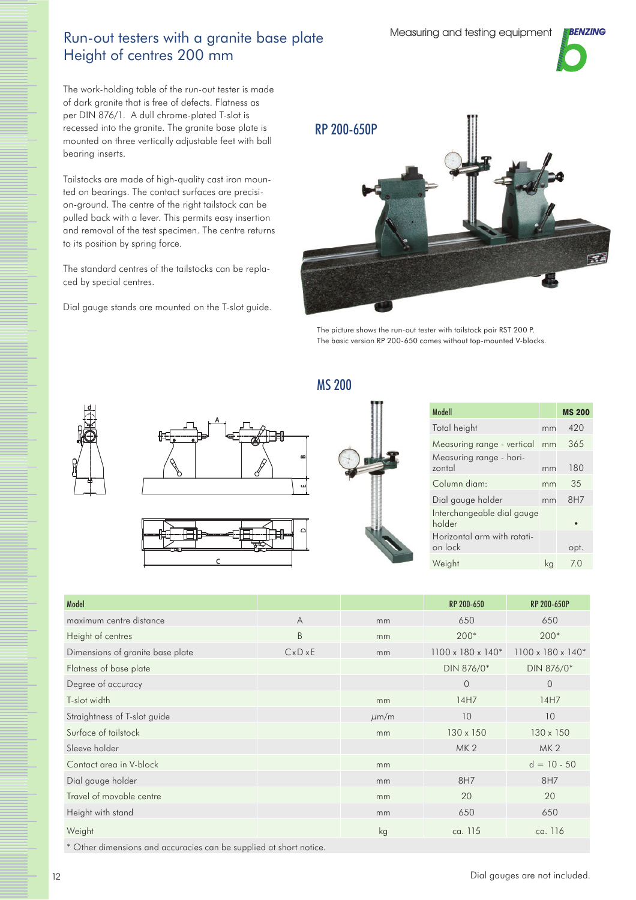## Run-out testers with a granite base plate Height of centres 200 mm

The work-holding table of the run-out tester is made of dark granite that is free of defects. Flatness as per DIN 876/1. A dull chrome-plated T-slot is recessed into the granite. The granite base plate is mounted on three vertically adjustable feet with ball bearing inserts.

Tailstocks are made of high-quality cast iron mounted on bearings. The contact surfaces are precision-ground. The centre of the right tailstock can be pulled back with a lever. This permits easy insertion and removal of the test specimen. The centre returns to its position by spring force.

The standard centres of the tailstocks can be replaced by special centres.

Dial gauge stands are mounted on the T-slot guide.



The picture shows the run-out tester with tailstock pair RST 200 P. The basic version RP 200-650 comes without top-mounted V-blocks.









MS 200

| Modell                                 |    | <b>MS 200</b> |
|----------------------------------------|----|---------------|
| Total height                           | mm | 420           |
| Measuring range - vertical             | mm | 365           |
| Measuring range - hori-<br>zontal      | mm | 180           |
| Column diam:                           | mm | 35            |
| Dial gauge holder                      | mm | 8H7           |
| Interchangeable dial gauge<br>holder   |    |               |
| Horizontal arm with rotati-<br>on lock |    | opt.          |
| Weight                                 | ka | 70            |

| Model                            |                |           | RP 200-650        | <b>RP 200-650P</b>             |
|----------------------------------|----------------|-----------|-------------------|--------------------------------|
| maximum centre distance          | $\overline{A}$ | mm        | 650               | 650                            |
| Height of centres                | B              | mm        | $200*$            | $200*$                         |
| Dimensions of granite base plate | CxDxE          | mm        | 1100 x 180 x 140* | $1100 \times 180 \times 140$ * |
| Flatness of base plate           |                |           | DIN 876/0*        | DIN 876/0*                     |
| Degree of accuracy               |                |           | $\overline{0}$    | $\Omega$                       |
| T-slot width                     |                | mm        | 14H7              | 14H7                           |
| Straightness of T-slot guide     |                | $\mu$ m/m | 10                | 10                             |
| Surface of tailstock             |                | mm        | 130 x 150         | 130 x 150                      |
| Sleeve holder                    |                |           | MK <sub>2</sub>   | MK <sub>2</sub>                |
| Contact area in V-block          |                | mm        |                   | $d = 10 - 50$                  |
| Dial gauge holder                |                | mm        | 8H7               | 8H7                            |
| Travel of movable centre         |                | mm        | 20                | 20                             |
| Height with stand                |                | mm        | 650               | 650                            |
| Weight                           |                | kg        | ca. 115           | ca. 116                        |

\* Other dimensions and accuracies can be supplied at short notice.